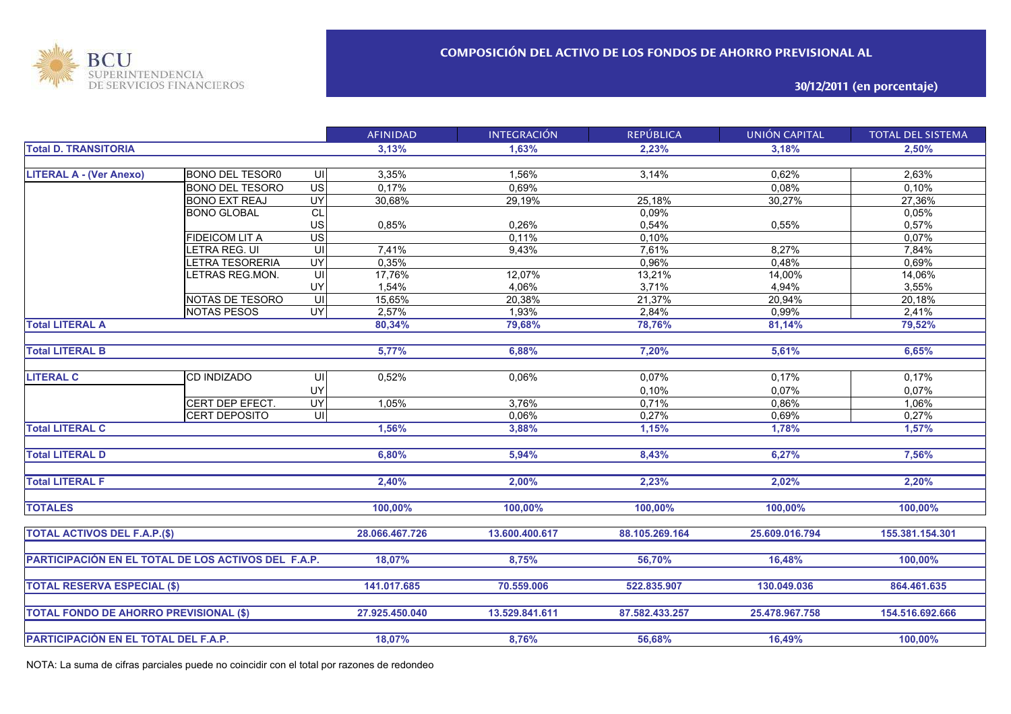

**30/12/2011 (en porcentaje)**

|                                                     |                        |                         | <b>AFINIDAD</b> | <b>INTEGRACIÓN</b> | <b>REPÚBLICA</b> | <b>UNIÓN CAPITAL</b> | <b>TOTAL DEL SISTEMA</b> |
|-----------------------------------------------------|------------------------|-------------------------|-----------------|--------------------|------------------|----------------------|--------------------------|
| <b>Total D. TRANSITORIA</b>                         |                        |                         | 3,13%           | 1,63%              | 2,23%            | 3,18%                | 2,50%                    |
|                                                     |                        |                         |                 |                    |                  |                      |                          |
| <b>LITERAL A - (Ver Anexo)</b>                      | <b>BONO DEL TESOR0</b> | UI                      | 3,35%           | 1,56%              | 3,14%            | 0,62%                | 2,63%                    |
|                                                     | <b>BONO DEL TESORO</b> | $\overline{US}$         | 0,17%           | 0,69%              |                  | 0,08%                | 0,10%                    |
|                                                     | <b>BONO EXT REAJ</b>   | <b>UY</b>               | 30,68%          | 29,19%             | 25,18%           | 30,27%               | 27,36%                   |
|                                                     | <b>BONO GLOBAL</b>     | <b>CL</b>               |                 |                    | 0,09%            |                      | 0,05%                    |
|                                                     |                        | US                      | 0,85%           | 0.26%              | 0,54%            | 0,55%                | 0,57%                    |
|                                                     | <b>FIDEICOM LIT A</b>  | $\overline{US}$         |                 | 0,11%              | 0,10%            |                      | 0,07%                    |
|                                                     | LETRA REG. UI          | UI                      | 7,41%           | 9,43%              | 7,61%            | 8,27%                | 7,84%                    |
|                                                     | LETRA TESORERIA        | UY                      | 0,35%           |                    | 0,96%            | 0,48%                | 0,69%                    |
|                                                     | LETRAS REG.MON.        | $\overline{\mathsf{U}}$ | 17,76%          | 12,07%             | 13,21%           | 14,00%               | 14,06%                   |
|                                                     |                        | UY                      | 1,54%           | 4,06%              | 3,71%            | 4,94%                | 3,55%                    |
|                                                     | NOTAS DE TESORO        | $\overline{\mathsf{c}}$ | 15,65%          | 20,38%             | 21,37%           | 20,94%               | 20,18%                   |
|                                                     | <b>NOTAS PESOS</b>     | UY <sub></sub>          | 2,57%           | 1,93%              | 2,84%            | 0,99%                | 2,41%                    |
| <b>Total LITERAL A</b>                              |                        |                         | 80,34%          | 79,68%             | 78,76%           | 81,14%               | 79,52%                   |
|                                                     |                        |                         |                 |                    |                  |                      |                          |
| <b>Total LITERAL B</b>                              |                        |                         | 5,77%           | 6,88%              | 7,20%            | 5,61%                | 6,65%                    |
|                                                     |                        |                         |                 |                    |                  |                      |                          |
| <b>LITERAL C</b>                                    | <b>CD INDIZADO</b>     | UI                      | 0,52%           | 0,06%              | 0,07%            | 0,17%                | 0,17%                    |
|                                                     |                        | UY                      |                 |                    | 0,10%            | 0,07%                | 0,07%                    |
|                                                     | CERT DEP EFECT.        | <b>UY</b>               | 1,05%           | 3,76%              | 0,71%            | 0,86%                | 1,06%                    |
|                                                     | CERT DEPOSITO          | -UII                    |                 | 0,06%              | 0,27%            | 0,69%                | 0,27%                    |
| <b>Total LITERAL C</b>                              |                        |                         | 1,56%           | 3,88%              | 1,15%            | 1,78%                | 1,57%                    |
|                                                     |                        |                         |                 |                    |                  |                      |                          |
| <b>Total LITERAL D</b>                              |                        |                         | 6,80%           | 5,94%              | 8,43%            | 6,27%                | 7,56%                    |
|                                                     |                        |                         |                 |                    |                  |                      |                          |
| <b>Total LITERAL F</b>                              |                        |                         | 2,40%           | 2,00%              | 2,23%            | 2,02%                | 2,20%                    |
|                                                     |                        |                         |                 |                    |                  |                      |                          |
| <b>TOTALES</b>                                      |                        |                         | 100,00%         | 100,00%            | 100,00%          | 100,00%              | 100,00%                  |
|                                                     |                        |                         |                 |                    |                  |                      |                          |
| <b>TOTAL ACTIVOS DEL F.A.P.(\$)</b>                 |                        |                         | 28.066.467.726  | 13.600.400.617     | 88.105.269.164   | 25.609.016.794       | 155.381.154.301          |
|                                                     |                        |                         |                 |                    |                  |                      |                          |
| PARTICIPACIÓN EN EL TOTAL DE LOS ACTIVOS DEL F.A.P. |                        |                         | 18,07%          | 8,75%              | 56,70%           | 16,48%               | 100,00%                  |
|                                                     |                        |                         |                 |                    |                  |                      |                          |
| <b>TOTAL RESERVA ESPECIAL (\$)</b>                  |                        |                         | 141.017.685     | 70.559.006         | 522.835.907      | 130.049.036          | 864.461.635              |
|                                                     |                        |                         |                 |                    |                  |                      |                          |
| <b>TOTAL FONDO DE AHORRO PREVISIONAL (\$)</b>       |                        |                         | 27.925.450.040  | 13.529.841.611     | 87.582.433.257   | 25.478.967.758       | 154.516.692.666          |
|                                                     |                        |                         |                 |                    |                  |                      |                          |
|                                                     |                        |                         |                 |                    |                  |                      |                          |
| PARTICIPACIÓN EN EL TOTAL DEL F.A.P.                |                        |                         | 18,07%          | 8,76%              | 56,68%           | 16,49%               | 100,00%                  |

NOTA: La suma de cifras parciales puede no coincidir con el total por razones de redondeo